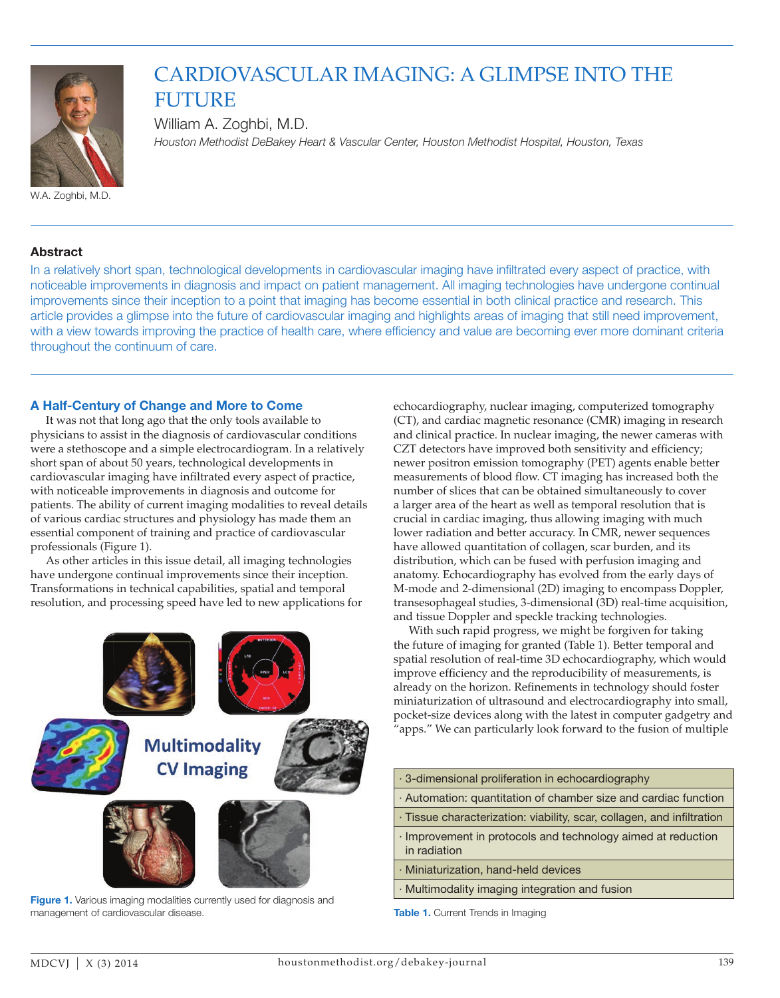

## CARDIOVASCULAR IMAGING: A GLIMPSE INTO THE FUTURE

William A. Zoghbi, M.D. *Houston Methodist DeBakey Heart & Vascular Center, Houston Methodist Hospital, Houston, Texas*

#### **Abstract**

In a relatively short span, technological developments in cardiovascular imaging have infiltrated every aspect of practice, with noticeable improvements in diagnosis and impact on patient management. All imaging technologies have undergone continual improvements since their inception to a point that imaging has become essential in both clinical practice and research. This article provides a glimpse into the future of cardiovascular imaging and highlights areas of imaging that still need improvement, with a view towards improving the practice of health care, where efficiency and value are becoming ever more dominant criteria throughout the continuum of care.

#### **A Half-Century of Change and More to Come**

It was not that long ago that the only tools available to physicians to assist in the diagnosis of cardiovascular conditions were a stethoscope and a simple electrocardiogram. In a relatively short span of about 50 years, technological developments in cardiovascular imaging have infiltrated every aspect of practice, with noticeable improvements in diagnosis and outcome for patients. The ability of current imaging modalities to reveal details of various cardiac structures and physiology has made them an essential component of training and practice of cardiovascular professionals (Figure 1).

As other articles in this issue detail, all imaging technologies have undergone continual improvements since their inception. Transformations in technical capabilities, spatial and temporal resolution, and processing speed have led to new applications for



**Figure 1.** Various imaging modalities currently used for diagnosis and management of cardiovascular disease.

echocardiography, nuclear imaging, computerized tomography (CT), and cardiac magnetic resonance (CMR) imaging in research and clinical practice. In nuclear imaging, the newer cameras with CZT detectors have improved both sensitivity and efficiency; newer positron emission tomography (PET) agents enable better measurements of blood flow. CT imaging has increased both the number of slices that can be obtained simultaneously to cover a larger area of the heart as well as temporal resolution that is crucial in cardiac imaging, thus allowing imaging with much lower radiation and better accuracy. In CMR, newer sequences have allowed quantitation of collagen, scar burden, and its distribution, which can be fused with perfusion imaging and anatomy. Echocardiography has evolved from the early days of M-mode and 2-dimensional (2D) imaging to encompass Doppler, transesophageal studies, 3-dimensional (3D) real-time acquisition, and tissue Doppler and speckle tracking technologies.

With such rapid progress, we might be forgiven for taking the future of imaging for granted (Table 1). Better temporal and spatial resolution of real-time 3D echocardiography, which would improve efficiency and the reproducibility of measurements, is already on the horizon. Refinements in technology should foster miniaturization of ultrasound and electrocardiography into small, pocket-size devices along with the latest in computer gadgetry and "apps." We can particularly look forward to the fusion of multiple

#### · 3-dimensional proliferation in echocardiography

- Automation: quantitation of chamber size and cardiac function
- Tissue characterization: viability, scar, collagen, and infiltration
- Improvement in protocols and technology aimed at reduction in radiation
- Miniaturization, hand-held devices
- · Multimodality imaging integration and fusion

**Table 1.** Current Trends in Imaging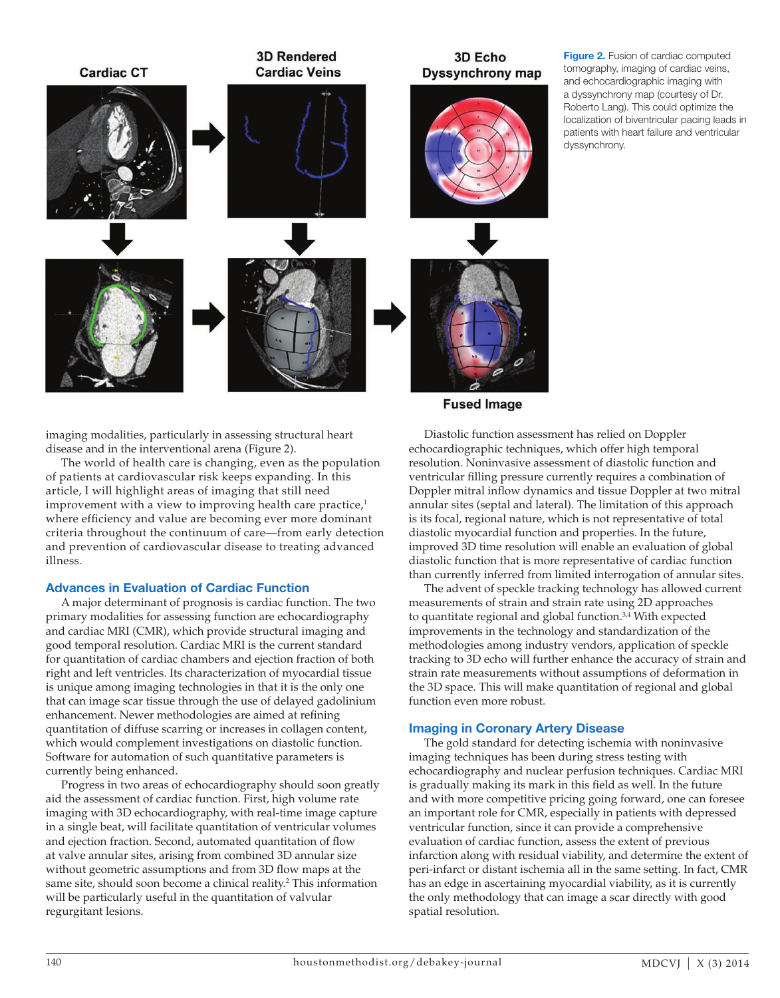

imaging modalities, particularly in assessing structural heart disease and in the interventional arena (Figure 2).

The world of health care is changing, even as the population of patients at cardiovascular risk keeps expanding. In this article, I will highlight areas of imaging that still need improvement with a view to improving health care practice, $1$ where efficiency and value are becoming ever more dominant criteria throughout the continuum of care—from early detection and prevention of cardiovascular disease to treating advanced illness.

#### **Advances in Evaluation of Cardiac Function**

A major determinant of prognosis is cardiac function. The two primary modalities for assessing function are echocardiography and cardiac MRI (CMR), which provide structural imaging and good temporal resolution. Cardiac MRI is the current standard for quantitation of cardiac chambers and ejection fraction of both right and left ventricles. Its characterization of myocardial tissue is unique among imaging technologies in that it is the only one that can image scar tissue through the use of delayed gadolinium enhancement. Newer methodologies are aimed at refining quantitation of diffuse scarring or increases in collagen content, which would complement investigations on diastolic function. Software for automation of such quantitative parameters is currently being enhanced.

Progress in two areas of echocardiography should soon greatly aid the assessment of cardiac function. First, high volume rate imaging with 3D echocardiography, with real-time image capture in a single beat, will facilitate quantitation of ventricular volumes and ejection fraction. Second, automated quantitation of flow at valve annular sites, arising from combined 3D annular size without geometric assumptions and from 3D flow maps at the same site, should soon become a clinical reality.<sup>2</sup> This information will be particularly useful in the quantitation of valvular regurgitant lesions.

# **Dyssynchrony map**



**Figure 2.** Fusion of cardiac computed tomography, imaging of cardiac veins, and echocardiographic imaging with a dyssynchrony map (courtesy of Dr. Roberto Lang). This could optimize the localization of biventricular pacing leads in patients with heart failure and ventricular dyssynchrony.

**Fused Image** 

Diastolic function assessment has relied on Doppler echocardiographic techniques, which offer high temporal resolution. Noninvasive assessment of diastolic function and ventricular filling pressure currently requires a combination of Doppler mitral inflow dynamics and tissue Doppler at two mitral annular sites (septal and lateral). The limitation of this approach is its focal, regional nature, which is not representative of total diastolic myocardial function and properties. In the future, improved 3D time resolution will enable an evaluation of global diastolic function that is more representative of cardiac function than currently inferred from limited interrogation of annular sites.

The advent of speckle tracking technology has allowed current measurements of strain and strain rate using 2D approaches to quantitate regional and global function.<sup>3,4</sup> With expected improvements in the technology and standardization of the methodologies among industry vendors, application of speckle tracking to 3D echo will further enhance the accuracy of strain and strain rate measurements without assumptions of deformation in the 3D space. This will make quantitation of regional and global function even more robust.

#### **Imaging in Coronary Artery Disease**

The gold standard for detecting ischemia with noninvasive imaging techniques has been during stress testing with echocardiography and nuclear perfusion techniques. Cardiac MRI is gradually making its mark in this field as well. In the future and with more competitive pricing going forward, one can foresee an important role for CMR, especially in patients with depressed ventricular function, since it can provide a comprehensive evaluation of cardiac function, assess the extent of previous infarction along with residual viability, and determine the extent of peri-infarct or distant ischemia all in the same setting. In fact, CMR has an edge in ascertaining myocardial viability, as it is currently the only methodology that can image a scar directly with good spatial resolution.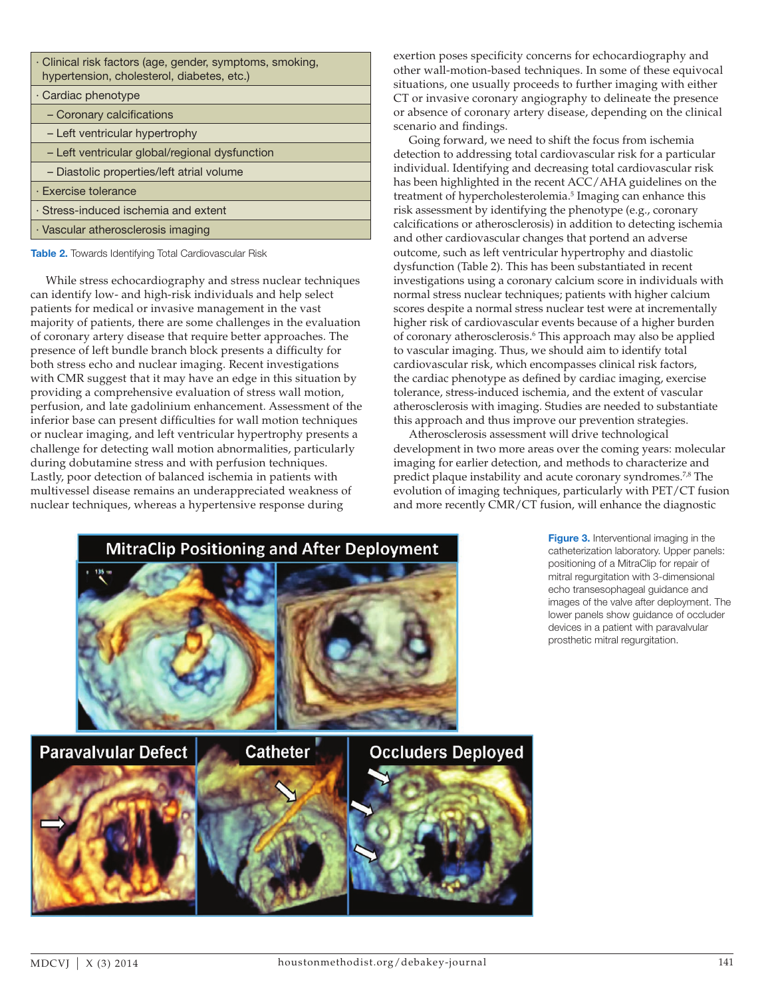| · Clinical risk factors (age, gender, symptoms, smoking,<br>hypertension, cholesterol, diabetes, etc.) |
|--------------------------------------------------------------------------------------------------------|
| $\cdot$ Cardiac phenotype                                                                              |
| - Coronary calcifications                                                                              |
| - Left ventricular hypertrophy                                                                         |
| - Left ventricular global/regional dysfunction                                                         |
| - Diastolic properties/left atrial volume                                                              |
| · Exercise tolerance                                                                                   |
| · Stress-induced ischemia and extent                                                                   |
| · Vascular atherosclerosis imaging                                                                     |

**Table 2.** Towards Identifying Total Cardiovascular Risk

While stress echocardiography and stress nuclear techniques can identify low- and high-risk individuals and help select patients for medical or invasive management in the vast majority of patients, there are some challenges in the evaluation of coronary artery disease that require better approaches. The presence of left bundle branch block presents a difficulty for both stress echo and nuclear imaging. Recent investigations with CMR suggest that it may have an edge in this situation by providing a comprehensive evaluation of stress wall motion, perfusion, and late gadolinium enhancement. Assessment of the inferior base can present difficulties for wall motion techniques or nuclear imaging, and left ventricular hypertrophy presents a challenge for detecting wall motion abnormalities, particularly during dobutamine stress and with perfusion techniques. Lastly, poor detection of balanced ischemia in patients with multivessel disease remains an underappreciated weakness of nuclear techniques, whereas a hypertensive response during

exertion poses specificity concerns for echocardiography and other wall-motion-based techniques. In some of these equivocal situations, one usually proceeds to further imaging with either CT or invasive coronary angiography to delineate the presence or absence of coronary artery disease, depending on the clinical scenario and findings.

Going forward, we need to shift the focus from ischemia detection to addressing total cardiovascular risk for a particular individual. Identifying and decreasing total cardiovascular risk has been highlighted in the recent ACC/AHA guidelines on the treatment of hypercholesterolemia.<sup>5</sup> Imaging can enhance this risk assessment by identifying the phenotype (e.g., coronary calcifications or atherosclerosis) in addition to detecting ischemia and other cardiovascular changes that portend an adverse outcome, such as left ventricular hypertrophy and diastolic dysfunction (Table 2). This has been substantiated in recent investigations using a coronary calcium score in individuals with normal stress nuclear techniques; patients with higher calcium scores despite a normal stress nuclear test were at incrementally higher risk of cardiovascular events because of a higher burden of coronary atherosclerosis.<sup>6</sup> This approach may also be applied to vascular imaging. Thus, we should aim to identify total cardiovascular risk, which encompasses clinical risk factors, the cardiac phenotype as defined by cardiac imaging, exercise tolerance, stress-induced ischemia, and the extent of vascular atherosclerosis with imaging. Studies are needed to substantiate this approach and thus improve our prevention strategies.

Atherosclerosis assessment will drive technological development in two more areas over the coming years: molecular imaging for earlier detection, and methods to characterize and predict plaque instability and acute coronary syndromes.<sup>7,8</sup> The evolution of imaging techniques, particularly with PET/CT fusion and more recently CMR/CT fusion, will enhance the diagnostic



**Figure 3.** Interventional imaging in the catheterization laboratory. Upper panels: positioning of a MitraClip for repair of mitral regurgitation with 3-dimensional echo transesophageal guidance and images of the valve after deployment. The lower panels show guidance of occluder devices in a patient with paravalvular prosthetic mitral regurgitation.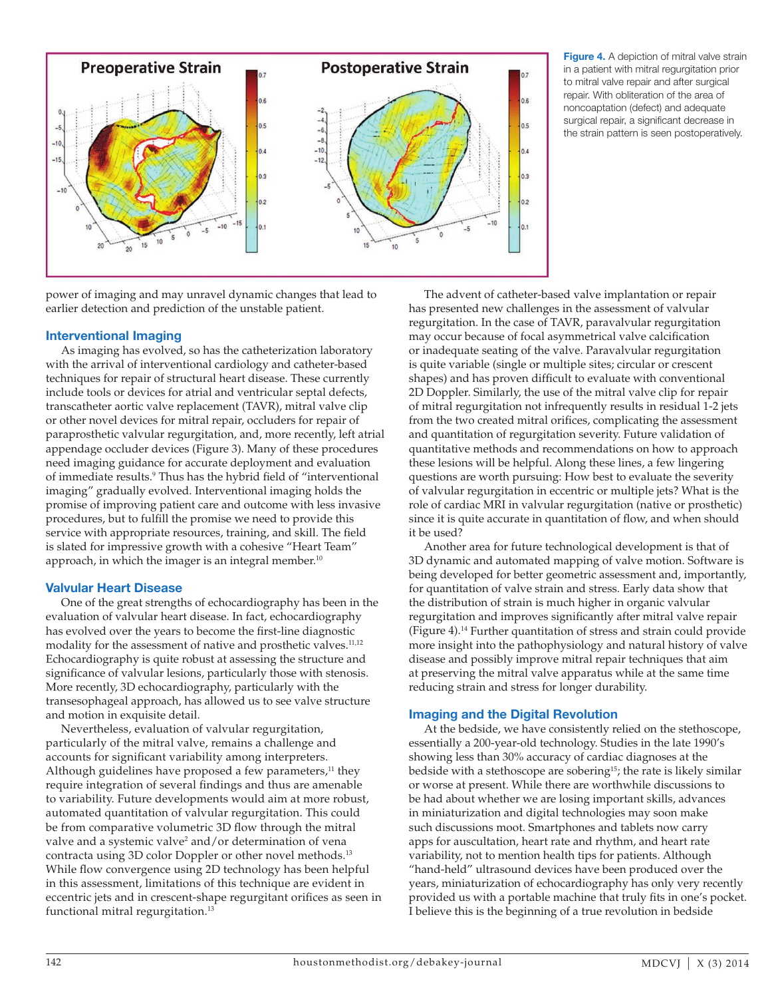

**Figure 4.** A depiction of mitral valve strain in a patient with mitral regurgitation prior to mitral valve repair and after surgical repair. With obliteration of the area of noncoaptation (defect) and adequate surgical repair, a significant decrease in the strain pattern is seen postoperatively.

power of imaging and may unravel dynamic changes that lead to earlier detection and prediction of the unstable patient.

#### **Interventional Imaging**

As imaging has evolved, so has the catheterization laboratory with the arrival of interventional cardiology and catheter-based techniques for repair of structural heart disease. These currently include tools or devices for atrial and ventricular septal defects, transcatheter aortic valve replacement (TAVR), mitral valve clip or other novel devices for mitral repair, occluders for repair of paraprosthetic valvular regurgitation, and, more recently, left atrial appendage occluder devices (Figure 3). Many of these procedures need imaging guidance for accurate deployment and evaluation of immediate results.<sup>9</sup> Thus has the hybrid field of "interventional imaging" gradually evolved. Interventional imaging holds the promise of improving patient care and outcome with less invasive procedures, but to fulfill the promise we need to provide this service with appropriate resources, training, and skill. The field is slated for impressive growth with a cohesive "Heart Team" approach, in which the imager is an integral member.<sup>10</sup>

#### **Valvular Heart Disease**

One of the great strengths of echocardiography has been in the evaluation of valvular heart disease. In fact, echocardiography has evolved over the years to become the first-line diagnostic modality for the assessment of native and prosthetic valves.<sup>11,12</sup> Echocardiography is quite robust at assessing the structure and significance of valvular lesions, particularly those with stenosis. More recently, 3D echocardiography, particularly with the transesophageal approach, has allowed us to see valve structure and motion in exquisite detail.

Nevertheless, evaluation of valvular regurgitation, particularly of the mitral valve, remains a challenge and accounts for significant variability among interpreters. Although guidelines have proposed a few parameters, $11$  they require integration of several findings and thus are amenable to variability. Future developments would aim at more robust, automated quantitation of valvular regurgitation. This could be from comparative volumetric 3D flow through the mitral valve and a systemic valve<sup>2</sup> and/or determination of vena contracta using 3D color Doppler or other novel methods.13 While flow convergence using 2D technology has been helpful in this assessment, limitations of this technique are evident in eccentric jets and in crescent-shape regurgitant orifices as seen in functional mitral regurgitation.<sup>13</sup>

The advent of catheter-based valve implantation or repair has presented new challenges in the assessment of valvular regurgitation. In the case of TAVR, paravalvular regurgitation may occur because of focal asymmetrical valve calcification or inadequate seating of the valve. Paravalvular regurgitation is quite variable (single or multiple sites; circular or crescent shapes) and has proven difficult to evaluate with conventional 2D Doppler. Similarly, the use of the mitral valve clip for repair of mitral regurgitation not infrequently results in residual 1-2 jets from the two created mitral orifices, complicating the assessment and quantitation of regurgitation severity. Future validation of quantitative methods and recommendations on how to approach these lesions will be helpful. Along these lines, a few lingering questions are worth pursuing: How best to evaluate the severity of valvular regurgitation in eccentric or multiple jets? What is the role of cardiac MRI in valvular regurgitation (native or prosthetic) since it is quite accurate in quantitation of flow, and when should it be used?

Another area for future technological development is that of 3D dynamic and automated mapping of valve motion. Software is being developed for better geometric assessment and, importantly, for quantitation of valve strain and stress. Early data show that the distribution of strain is much higher in organic valvular regurgitation and improves significantly after mitral valve repair (Figure 4).14 Further quantitation of stress and strain could provide more insight into the pathophysiology and natural history of valve disease and possibly improve mitral repair techniques that aim at preserving the mitral valve apparatus while at the same time reducing strain and stress for longer durability.

#### **Imaging and the Digital Revolution**

At the bedside, we have consistently relied on the stethoscope, essentially a 200-year-old technology. Studies in the late 1990's showing less than 30% accuracy of cardiac diagnoses at the bedside with a stethoscope are sobering<sup>15</sup>; the rate is likely similar or worse at present. While there are worthwhile discussions to be had about whether we are losing important skills, advances in miniaturization and digital technologies may soon make such discussions moot. Smartphones and tablets now carry apps for auscultation, heart rate and rhythm, and heart rate variability, not to mention health tips for patients. Although "hand-held" ultrasound devices have been produced over the years, miniaturization of echocardiography has only very recently provided us with a portable machine that truly fits in one's pocket. I believe this is the beginning of a true revolution in bedside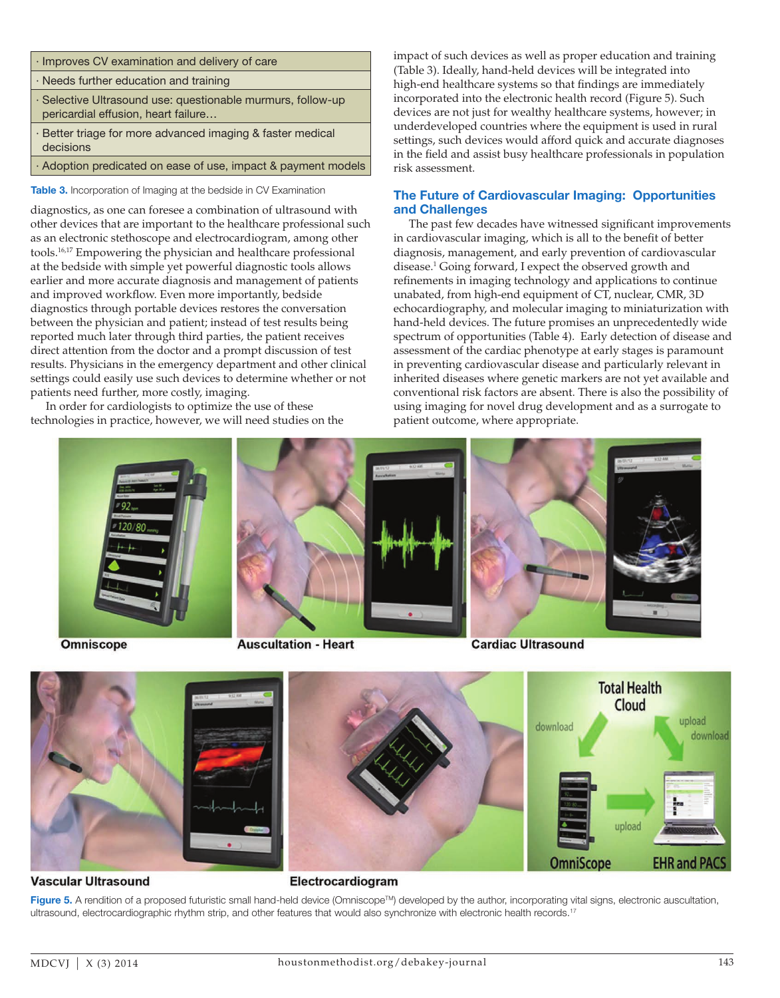| Improves CV examination and delivery of care                                                       | impa<br>(Tabl           |
|----------------------------------------------------------------------------------------------------|-------------------------|
| $\cdot$ Needs further education and training                                                       | high                    |
| · Selective Ultrasound use: questionable murmurs, follow-up<br>pericardial effusion, heart failure | incor<br>devi           |
| · Better triage for more advanced imaging & faster medical<br>decisions                            | unde<br>settin<br>in th |
| . Adoption predicated on ease of use, impact & payment models                                      | risk a                  |

**Table 3.** Incorporation of Imaging at the bedside in CV Examination

diagnostics, as one can foresee a combination of ultrasound with other devices that are important to the healthcare professional such as an electronic stethoscope and electrocardiogram, among other tools.16,17 Empowering the physician and healthcare professional at the bedside with simple yet powerful diagnostic tools allows earlier and more accurate diagnosis and management of patients and improved workflow. Even more importantly, bedside diagnostics through portable devices restores the conversation between the physician and patient; instead of test results being reported much later through third parties, the patient receives direct attention from the doctor and a prompt discussion of test results. Physicians in the emergency department and other clinical settings could easily use such devices to determine whether or not patients need further, more costly, imaging.

In order for cardiologists to optimize the use of these technologies in practice, however, we will need studies on the

ict of such devices as well as proper education and training le 3). Ideally, hand-held devices will be integrated into end healthcare systems so that findings are immediately porated into the electronic health record (Figure 5). Such ces are not just for wealthy healthcare systems, however; in erdeveloped countries where the equipment is used in rural ngs, such devices would afford quick and accurate diagnoses e field and assist busy healthcare professionals in population assessment.

#### **The Future of Cardiovascular Imaging: Opportunities and Challenges**

The past few decades have witnessed significant improvements in cardiovascular imaging, which is all to the benefit of better diagnosis, management, and early prevention of cardiovascular disease.1 Going forward, I expect the observed growth and refinements in imaging technology and applications to continue unabated, from high-end equipment of CT, nuclear, CMR, 3D echocardiography, and molecular imaging to miniaturization with hand-held devices. The future promises an unprecedentedly wide spectrum of opportunities (Table 4). Early detection of disease and assessment of the cardiac phenotype at early stages is paramount in preventing cardiovascular disease and particularly relevant in inherited diseases where genetic markers are not yet available and conventional risk factors are absent. There is also the possibility of using imaging for novel drug development and as a surrogate to patient outcome, where appropriate.



**Omniscope** 

**Auscultation - Heart** 

**Cardiac Ultrasound** 



#### **Vascular Ultrasound**

Electrocardiogram

Figure 5. A rendition of a proposed futuristic small hand-held device (Omniscope<sup>TM</sup>) developed by the author, incorporating vital signs, electronic auscultation, ultrasound, electrocardiographic rhythm strip, and other features that would also synchronize with electronic health records.17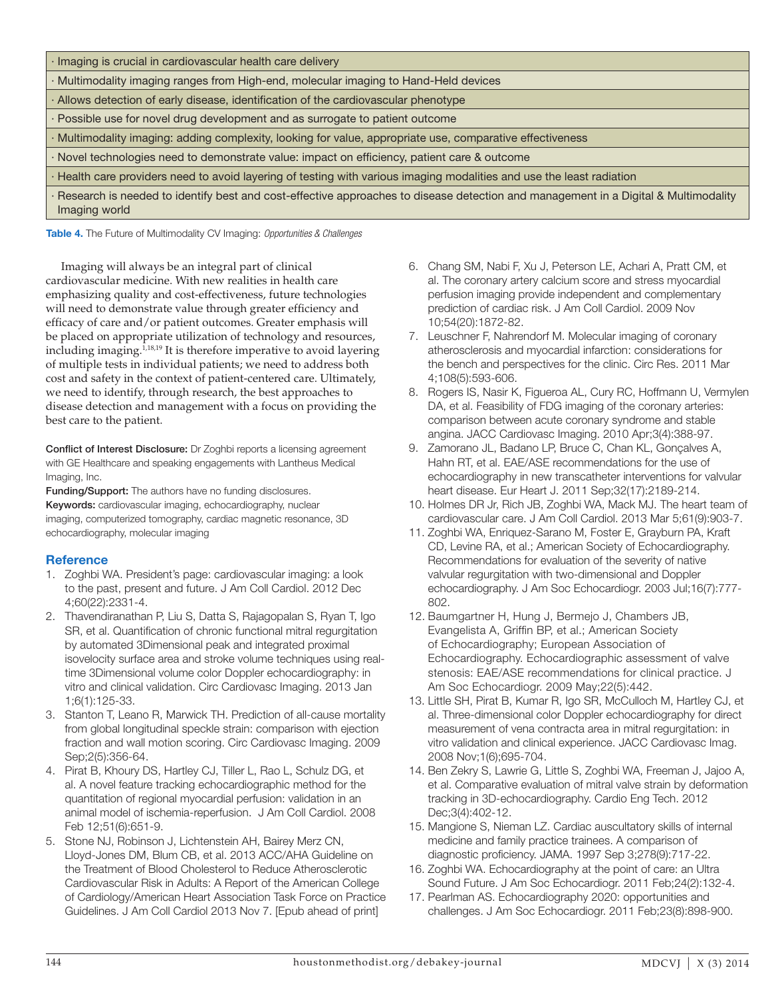Imaging is crucial in cardiovascular health care delivery

· Multimodality imaging ranges from High-end, molecular imaging to Hand-Held devices

- · Allows detection of early disease, identification of the cardiovascular phenotype
- · Possible use for novel drug development and as surrogate to patient outcome
- · Multimodality imaging: adding complexity, looking for value, appropriate use, comparative effectiveness
- · Novel technologies need to demonstrate value: impact on efficiency, patient care & outcome
- · Health care providers need to avoid layering of testing with various imaging modalities and use the least radiation
- Research is needed to identify best and cost-effective approaches to disease detection and management in a Digital & Multimodality Imaging world

**Table 4.** The Future of Multimodality CV Imaging: *Opportunities & Challenges*

Imaging will always be an integral part of clinical cardiovascular medicine. With new realities in health care emphasizing quality and cost-effectiveness, future technologies will need to demonstrate value through greater efficiency and efficacy of care and/or patient outcomes. Greater emphasis will be placed on appropriate utilization of technology and resources, including imaging.<sup>1,18,19</sup> It is therefore imperative to avoid layering of multiple tests in individual patients; we need to address both cost and safety in the context of patient-centered care. Ultimately, we need to identify, through research, the best approaches to disease detection and management with a focus on providing the best care to the patient.

Conflict of Interest Disclosure: Dr Zoghbi reports a licensing agreement with GE Healthcare and speaking engagements with Lantheus Medical Imaging, Inc.

Funding/Support: The authors have no funding disclosures. Keywords: cardiovascular imaging, echocardiography, nuclear imaging, computerized tomography, cardiac magnetic resonance, 3D echocardiography, molecular imaging

### **Reference**

- 1. Zoghbi WA. President's page: cardiovascular imaging: a look to the past, present and future. J Am Coll Cardiol. 2012 Dec 4;60(22):2331-4.
- 2. Thavendiranathan P, Liu S, Datta S, Rajagopalan S, Ryan T, Igo SR, et al. Quantification of chronic functional mitral regurgitation by automated 3Dimensional peak and integrated proximal isovelocity surface area and stroke volume techniques using realtime 3Dimensional volume color Doppler echocardiography: in vitro and clinical validation. Circ Cardiovasc Imaging. 2013 Jan 1;6(1):125-33.
- 3. Stanton T, Leano R, Marwick TH. Prediction of all-cause mortality from global longitudinal speckle strain: comparison with ejection fraction and wall motion scoring. Circ Cardiovasc Imaging. 2009 Sep;2(5):356-64.
- 4. Pirat B, Khoury DS, Hartley CJ, Tiller L, Rao L, Schulz DG, et al. A novel feature tracking echocardiographic method for the quantitation of regional myocardial perfusion: validation in an animal model of ischemia-reperfusion. J Am Coll Cardiol. 2008 Feb 12;51(6):651-9.
- 5. Stone NJ, Robinson J, Lichtenstein AH, Bairey Merz CN, Lloyd-Jones DM, Blum CB, et al. 2013 ACC/AHA Guideline on the Treatment of Blood Cholesterol to Reduce Atherosclerotic Cardiovascular Risk in Adults: A Report of the American College of Cardiology/American Heart Association Task Force on Practice Guidelines. J Am Coll Cardiol 2013 Nov 7. [Epub ahead of print]
- 6. Chang SM, Nabi F, Xu J, Peterson LE, Achari A, Pratt CM, et al. The coronary artery calcium score and stress myocardial perfusion imaging provide independent and complementary prediction of cardiac risk. J Am Coll Cardiol. 2009 Nov 10;54(20):1872-82.
- 7. Leuschner F, Nahrendorf M. Molecular imaging of coronary atherosclerosis and myocardial infarction: considerations for the bench and perspectives for the clinic. Circ Res. 2011 Mar 4;108(5):593-606.
- 8. Rogers IS, Nasir K, Figueroa AL, Cury RC, Hoffmann U, Vermylen DA, et al. Feasibility of FDG imaging of the coronary arteries: comparison between acute coronary syndrome and stable angina. JACC Cardiovasc Imaging. 2010 Apr;3(4):388-97.
- 9. Zamorano JL, Badano LP, Bruce C, Chan KL, Gonçalves A, Hahn RT, et al. EAE/ASE recommendations for the use of echocardiography in new transcatheter interventions for valvular heart disease. Eur Heart J. 2011 Sep;32(17):2189-214.
- 10. Holmes DR Jr, Rich JB, Zoghbi WA, Mack MJ. The heart team of cardiovascular care. J Am Coll Cardiol. 2013 Mar 5;61(9):903-7.
- 11. Zoghbi WA, Enriquez-Sarano M, Foster E, Grayburn PA, Kraft CD, Levine RA, et al.; American Society of Echocardiography. Recommendations for evaluation of the severity of native valvular regurgitation with two-dimensional and Doppler echocardiography. J Am Soc Echocardiogr. 2003 Jul;16(7):777- 802.
- 12. Baumgartner H, Hung J, Bermejo J, Chambers JB, Evangelista A, Griffin BP, et al.; American Society of Echocardiography; European Association of Echocardiography. Echocardiographic assessment of valve stenosis: EAE/ASE recommendations for clinical practice. J Am Soc Echocardiogr. 2009 May;22(5):442.
- 13. Little SH, Pirat B, Kumar R, Igo SR, McCulloch M, Hartley CJ, et al. Three-dimensional color Doppler echocardiography for direct measurement of vena contracta area in mitral regurgitation: in vitro validation and clinical experience. JACC Cardiovasc Imag. 2008 Nov;1(6);695-704.
- 14. Ben Zekry S, Lawrie G, Little S, Zoghbi WA, Freeman J, Jajoo A, et al. Comparative evaluation of mitral valve strain by deformation tracking in 3D-echocardiography. Cardio Eng Tech. 2012 Dec;3(4):402-12.
- 15. Mangione S, Nieman LZ. Cardiac auscultatory skills of internal medicine and family practice trainees. A comparison of diagnostic proficiency. JAMA. 1997 Sep 3;278(9):717-22.
- 16. Zoghbi WA. Echocardiography at the point of care: an Ultra Sound Future. J Am Soc Echocardiogr. 2011 Feb;24(2):132-4.
- 17. Pearlman AS. Echocardiography 2020: opportunities and challenges. J Am Soc Echocardiogr. 2011 Feb;23(8):898-900.